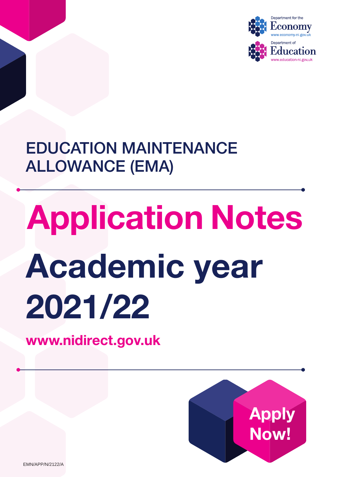

## EDUCATION MAINTENANCE ALLOWANCE (EMA)

# Application Notes Academic year 2021/22

<www.nidirect.gov.uk>



EMN/APP/N/2122/A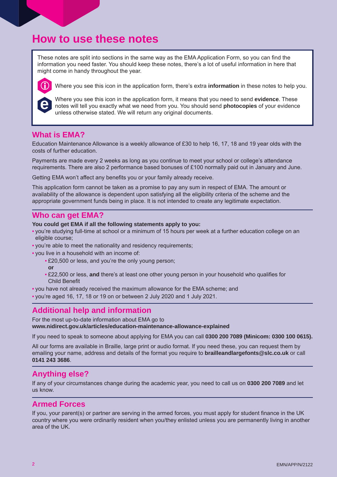## **How to use these notes**

These notes are split into sections in the same way as the EMA Application Form, so you can find the information you need faster. You should keep these notes, there's a lot of useful information in here that might come in handy throughout the year.



Where you see this icon in the application form, there's extra **information** in these notes to help you.

Where you see this icon in the application form, it means that you need to send **evidence**. These notes will tell you exactly what we need from you. You should send **photocopies** of your evidence unless otherwise stated. We will return any original documents.

### **What is EMA?**

Education Maintenance Allowance is a weekly allowance of £30 to help 16, 17, 18 and 19 year olds with the costs of further education.

Payments are made every 2 weeks as long as you continue to meet your school or college's attendance requirements. There are also 2 performance based bonuses of £100 normally paid out in January and June.

Getting EMA won't affect any benefits you or your family already receive.

This application form cannot be taken as a promise to pay any sum in respect of EMA. The amount or availability of the allowance is dependent upon satisfying all the eligibility criteria of the scheme and the appropriate government funds being in place. It is not intended to create any legitimate expectation.

## **Who can get EMA?**

#### **You could get EMA if all the following statements apply to you:**

- you're studying full-time at school or a minimum of 15 hours per week at a further education college on an eligible course;
- you're able to meet the nationality and residency requirements;
- you live in a household with an income of:
	- £20,500 or less, and you're the only young person;
		- **or**
	- £22,500 or less, **and** there's at least one other young person in your household who qualifies for Child Benefit
- you have not already received the maximum allowance for the EMA scheme; and
- you're aged 16, 17, 18 or 19 on or between 2 July 2020 and 1 July 2021.

## **Additional help and information**

For the most up-to-date information about EMA go to

**[www.nidirect.gov.uk/articles/education-maintenance-allowance-explained](http://www.nidirect.gov.uk/articles/education-maintenance-allowance-explained)** 

If you need to speak to someone about applying for EMA you can call **0300 200 7089 (Minicom: 0300 100 0615).** 

All our forms are available in Braille, large print or audio format. If you need these, you can request them by emailing your name, address and details of the format you require to **[brailleandlargefonts@slc.co.uk](mailto:brailleandlargefonts@slc.co.uk)** or call **0141 243 3686**.

## **Anything else?**

If any of your circumstances change during the academic year, you need to call us on **0300 200 7089** and let us know.

## **Armed Forces**

If you, your parent(s) or partner are serving in the armed forces, you must apply for student finance in the UK country where you were ordinarily resident when you/they enlisted unless you are permanently living in another area of the UK.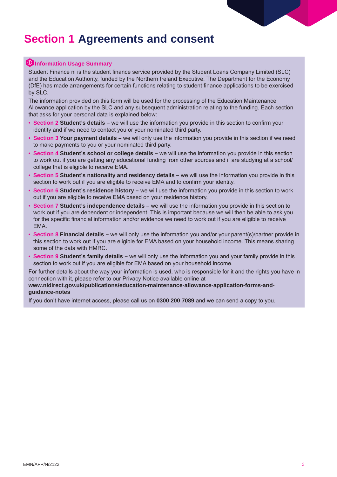## **Section 1 Agreements and consent**

#### **10 Information Usage Summary**

Student Finance ni is the student finance service provided by the Student Loans Company Limited (SLC) and the Education Authority, funded by the Northern Ireland Executive. The Department for the Economy (DfE) has made arrangements for certain functions relating to student finance applications to be exercised by SLC.

The information provided on this form will be used for the processing of the Education Maintenance Allowance application by the SLC and any subsequent administration relating to the funding. Each section that asks for your personal data is explained below:

- **Section 2 Student's details –** we will use the information you provide in this section to confirm your identity and if we need to contact you or your nominated third party.
- **Section 3 Your payment details –** we will only use the information you provide in this section if we need to make payments to you or your nominated third party.
- **Section 4 Student's school or college details –** we will use the information you provide in this section to work out if you are getting any educational funding from other sources and if are studying at a school/ college that is eligible to receive EMA.
- **Section 5 Student's nationality and residency details –** we will use the information you provide in this section to work out if you are eligible to receive EMA and to confirm your identity.
- **Section 6 Student's residence history –** we will use the information you provide in this section to work out if you are eligible to receive EMA based on your residence history.
- **Section 7 Student's independence details –** we will use the information you provide in this section to work out if you are dependent or independent. This is important because we will then be able to ask you for the specific financial information and/or evidence we need to work out if you are eligible to receive EMA.
- **Section 8 Financial details –** we will only use the information you and/or your parent(s)/partner provide in this section to work out if you are eligible for EMA based on your household income. This means sharing some of the data with HMRC.
- **Section 9 Student's family details –** we will only use the information you and your family provide in this section to work out if you are eligible for EMA based on your household income.

For further details about the way your information is used, who is responsible for it and the rights you have in connection with it, please refer to our Privacy Notice available online at

#### **[www.nidirect.gov.uk/publications/education-maintenance-allowance-application-forms-and](http://www.nidirect.gov.uk/publications/education-maintenance-allowance-application-forms-and-guidance-note)[guidance-notes](http://www.nidirect.gov.uk/publications/education-maintenance-allowance-application-forms-and-guidance-note)**

If you don't have internet access, please call us on **0300 200 7089** and we can send a copy to you.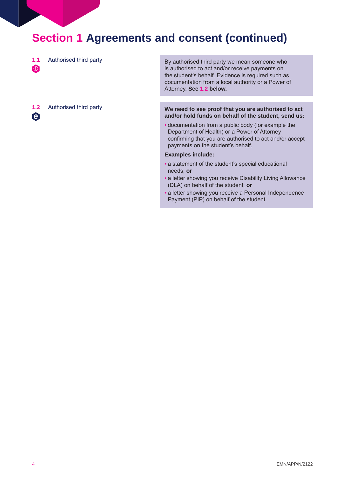## **Section 1 Agreements and consent (continued)**

**1.1**  Authorised third party

<sup>o</sup>

 $\boldsymbol{\Theta}$ 

By authorised third party we mean someone who is authorised to act and/or receive payments on the student's behalf. Evidence is required such as documentation from a local authority or a Power of Attorney. **See 1.2 below.** 

#### **1.2** Authorised third party **We need to see proof that you are authorised to act and/or hold funds on behalf of the student, send us:**

• documentation from a public body (for example the Department of Health) or a Power of Attorney confirming that you are authorised to act and/or accept payments on the student's behalf.

#### **Examples include:**

- a statement of the student's special educational needs; **or**
- a letter showing you receive Disability Living Allowance (DLA) on behalf of the student; **or**
- a letter showing you receive a Personal Independence Payment (PIP) on behalf of the student.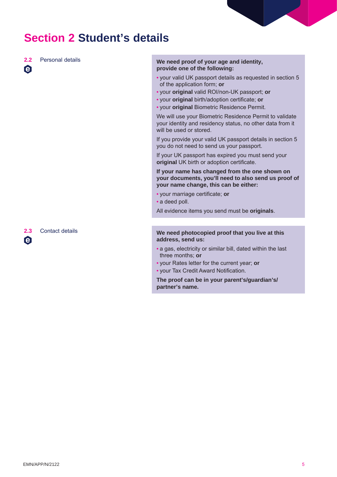## **Section 2 Student's details**

 $\boldsymbol{\Theta}$ 

#### **2.2** Personal details **We need proof of your age and identity, provide one of the following:**

- your valid UK passport details as requested in section 5 of the application form; **or**
- your **original** valid ROI/non-UK passport; **or**
- your **original** birth/adoption certificate; **or**
- your **original** Biometric Residence Permit.

We will use your Biometric Residence Permit to validate your identity and residency status, no other data from it will be used or stored.

If you provide your valid UK passport details in section 5 you do not need to send us your passport.

If your UK passport has expired you must send your **original** UK birth or adoption certificate.

#### **If your name has changed from the one shown on your documents, you'll need to also send us proof of your name change, this can be either:**

- your marriage certificate; **or**
- a deed poll.

All evidence items you send must be **originals**.

#### **2.3** Contact details **We need photocopied proof that you live at this address, send us:**

- a gas, electricity or similar bill, dated within the last three months; **or**
- your Rates letter for the current year; **or**
- your Tax Credit Award Notification.

**The proof can be in your parent's/guardian's/ partner's name.** 

 $\boldsymbol{\Theta}$ 

EMN/APP/N/2122 5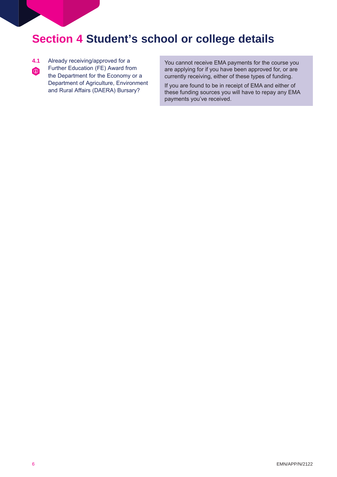## **Section 4 Student's school or college details**

- **4.1** Already receiving/approved for a
- Further Education (FE) Award from the Department for the Economy or a Department of Agriculture, Environment and Rural Affairs (DAERA) Bursary?  $\bigcirc$

You cannot receive EMA payments for the course you are applying for if you have been approved for, or are currently receiving, either of these types of funding.

If you are found to be in receipt of EMA and either of these funding sources you will have to repay any EMA payments you've received.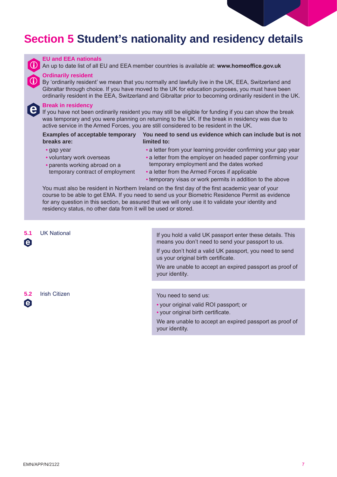## **Section 5 Student's nationality and residency details**



**e** 

#### **EU and EEA nationals**

An up to date list of all EU and EEA member countries is available at: **<www.homeoffice.gov.uk>** 

**Ordinarily resident**<br> **D** By 'ordinarily resident' we mean that you normally and lawfully live in the UK, EEA, Switzerland and Gibraltar through choice. If you have moved to the UK for education purposes, you must have been ordinarily resident in the EEA, Switzerland and Gibraltar prior to becoming ordinarily resident in the UK.

#### **Break in residency**

If you have not been ordinarily resident you may still be eligible for funding if you can show the break was temporary and you were planning on returning to the UK. If the break in residency was due to active service in the Armed Forces, you are still considered to be resident in the UK.

#### **Examples of acceptable temporary breaks are: You need to send us evidence which can include but is not limited to:**

- 
- -
- gap year a letter from your learning provider confirming your gap year
- voluntary work overseas • a letter from the employer on headed paper confirming your • parents working abroad on a temporary employment and the dates worked
	- temporary contract of employment a letter from the Armed Forces if applicable
		- temporary visas or work permits in addition to the above

You must also be resident in Northern Ireland on the first day of the first academic year of your course to be able to get EMA. If you need to send us your Biometric Residence Permit as evidence for any question in this section, be assured that we will only use it to validate your identity and residency status, no other data from it will be used or stored.

 $\boldsymbol{\Theta}$ 

e

**5.1** UK National **If you hold a valid UK passport enter these details. This** means you don't need to send your passport to us.

> If you don't hold a valid UK passport, you need to send us your original birth certificate.

We are unable to accept an expired passport as proof of your identity.

**5.2 Irish Citizen <b>1.1.** You need to send us:

- your original valid ROI passport; or
- your original birth certificate.

We are unable to accept an expired passport as proof of your identity.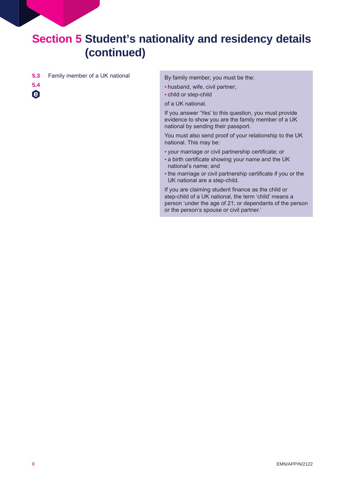- **5.3**  Family member of a UK national By family member, you must be the:
- **5.4**   $\boldsymbol{\Theta}$

- husband, wife, civil partner;
- child or step-child

of a UK national.

If you answer 'Yes' to this question, you must provide evidence to show you are the family member of a UK national by sending their passport.

You must also send proof of your relationship to the UK national. This may be:

- your marriage or civil partnership certificate; or
- a birth certificate showing your name and the UK national's name; and
- the marriage or civil partnership certificate if you or the UK national are a step-child.

If you are claiming student finance as the child or step-child of a UK national, the term 'child' means a person 'under the age of 21; or dependants of the person or the person's spouse or civil partner.'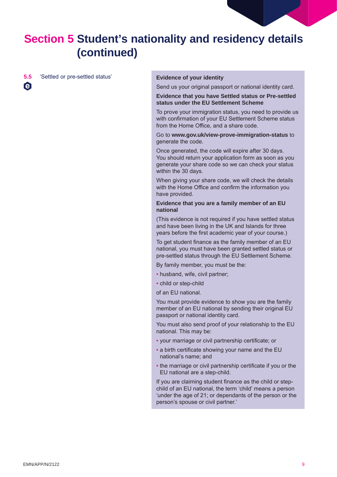

**5.5** 'Settled or pre-settled status' **Evidence of your identity** 

 $\boldsymbol{\Theta}$ 

Send us your original passport or national identity card.

**Evidence that you have Settled status or Pre-settled status under the EU Settlement Scheme** 

To prove your immigration status, you need to provide us with confirmation of your EU Settlement Scheme status from the Home Office, and a share code.

Go to **<www.gov.uk/view-prove-immigration-status>** to generate the code.

Once generated, the code will expire after 30 days. You should return your application form as soon as you generate your share code so we can check your status within the 30 days.

When giving your share code, we will check the details with the Home Office and confirm the information you have provided.

#### **Evidence that you are a family member of an EU national**

(This evidence is not required if you have settled status and have been living in the UK and Islands for three years before the first academic year of your course.)

To get student finance as the family member of an EU national, you must have been granted settled status or pre-settled status through the EU Settlement Scheme.

By family member, you must be the:

- husband, wife, civil partner;
- child or step-child

of an EU national.

You must provide evidence to show you are the family member of an EU national by sending their original EU passport or national identity card.

You must also send proof of your relationship to the EU national. This may be:

- your marriage or civil partnership certificate; or
- a birth certificate showing your name and the EU national's name; and
- the marriage or civil partnership certificate if you or the EU national are a step-child.

If you are claiming student finance as the child or stepchild of an EU national, the term 'child' means a person 'under the age of 21; or dependants of the person or the person's spouse or civil partner.'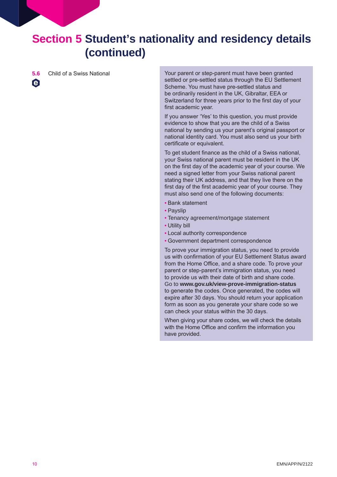$\boldsymbol{\Theta}$ 

**5.6** Child of a Swiss National Your parent or step-parent must have been granted settled or pre-settled status through the EU Settlement Scheme. You must have pre-settled status and be ordinarily resident in the UK, Gibraltar, EEA or Switzerland for three years prior to the first day of your first academic year.

> If you answer 'Yes' to this question, you must provide evidence to show that you are the child of a Swiss national by sending us your parent's original passport or national identity card. You must also send us your birth certificate or equivalent.

> To get student finance as the child of a Swiss national, your Swiss national parent must be resident in the UK on the first day of the academic year of your course. We need a signed letter from your Swiss national parent stating their UK address, and that they live there on the first day of the first academic year of your course. They must also send one of the following documents:

- Bank statement
- Payslip
- Tenancy agreement/mortgage statement
- Utility bill
- Local authority correspondence
- Government department correspondence

To prove your immigration status, you need to provide us with confirmation of your EU Settlement Status award from the Home Office, and a share code. To prove your parent or step-parent's immigration status, you need to provide us with their date of birth and share code. Go to **[www.gov.uk/view-prove-immigration-status](http://www.gov.uk/view-prove-immigration-status)**  to generate the codes. Once generated, the codes will expire after 30 days. You should return your application form as soon as you generate your share code so we can check your status within the 30 days.

When giving your share codes, we will check the details with the Home Office and confirm the information you have provided.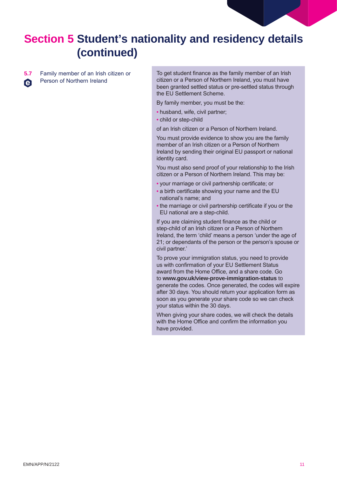**5.7** Family member of an Irish citizen or Person of Northern Ireland e

To get student finance as the family member of an Irish citizen or a Person of Northern Ireland, you must have been granted settled status or pre-settled status through the EU Settlement Scheme.

By family member, you must be the:

- husband, wife, civil partner;
- child or step-child

of an Irish citizen or a Person of Northern Ireland.

You must provide evidence to show you are the family member of an Irish citizen or a Person of Northern Ireland by sending their original EU passport or national identity card.

You must also send proof of your relationship to the Irish citizen or a Person of Northern Ireland. This may be:

- your marriage or civil partnership certificate; or
- a birth certificate showing your name and the EU national's name; and
- the marriage or civil partnership certificate if you or the EU national are a step-child.

If you are claiming student finance as the child or step-child of an Irish citizen or a Person of Northern Ireland, the term 'child' means a person 'under the age of 21; or dependants of the person or the person's spouse or civil partner.'

To prove your immigration status, you need to provide us with confirmation of your EU Settlement Status award from the Home Office, and a share code. Go to **[www.gov.uk/view-prove-immigration-status](http://www.gov.uk/view-prove-immigration-status)** to generate the codes. Once generated, the codes will expire after 30 days. You should return your application form as soon as you generate your share code so we can check your status within the 30 days.

When giving your share codes, we will check the details with the Home Office and confirm the information you have provided.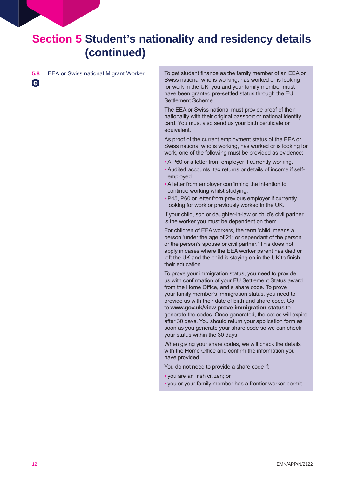$\boldsymbol{\Theta}$ 

**5.8 EEA** or Swiss national Migrant Worker To get student finance as the family member of an EEA or Swiss national who is working, has worked or is looking for work in the UK, you and your family member must have been granted pre-settled status through the EU Settlement Scheme.

> The EEA or Swiss national must provide proof of their nationality with their original passport or national identity card. You must also send us your birth certificate or equivalent.

As proof of the current employment status of the EEA or Swiss national who is working, has worked or is looking for work, one of the following must be provided as evidence:

- A P60 or a letter from employer if currently working.
- Audited accounts, tax returns or details of income if selfemployed.
- A letter from employer confirming the intention to continue working whilst studying.
- P45, P60 or letter from previous employer if currently looking for work or previously worked in the UK.

If your child, son or daughter-in-law or child's civil partner is the worker you must be dependent on them.

For children of EEA workers, the term 'child' means a person 'under the age of 21; or dependant of the person or the person's spouse or civil partner.' This does not apply in cases where the EEA worker parent has died or left the UK and the child is staying on in the UK to finish their education.

To prove your immigration status, you need to provide us with confirmation of your EU Settlement Status award from the Home Office, and a share code. To prove your family member's immigration status, you need to provide us with their date of birth and share code. Go to **<www.gov.uk/view-prove-immigration-status>** to generate the codes. Once generated, the codes will expire after 30 days. You should return your application form as soon as you generate your share code so we can check your status within the 30 days.

When giving your share codes, we will check the details with the Home Office and confirm the information you have provided.

You do not need to provide a share code if:

- you are an Irish citizen; or
- you or your family member has a frontier worker permit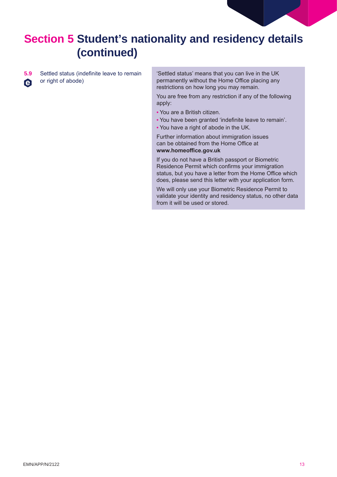**5.9** Settled status (indefinite leave to remain or right of abode)  $\boldsymbol{\Theta}$ 

'Settled status' means that you can live in the UK permanently without the Home Office placing any restrictions on how long you may remain.

You are free from any restriction if any of the following apply:

- You are a British citizen.
- You have been granted 'indefinite leave to remain'.

• You have a right of abode in the UK.

Further information about immigration issues can be obtained from the Home Office at **<www.homeoffice.gov.uk>**

If you do not have a British passport or Biometric Residence Permit which confirms your immigration status, but you have a letter from the Home Office which does, please send this letter with your application form.

We will only use your Biometric Residence Permit to validate your identity and residency status, no other data from it will be used or stored.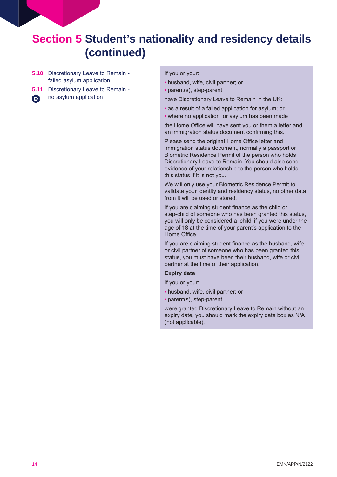- **5.10** Discretionary Leave to Remain failed asylum application
- **5.11** Discretionary Leave to Remain -
- no asylum application **e**

#### If you or your:

- husband, wife, civil partner; or
- parent(s), step-parent

have Discretionary Leave to Remain in the UK:

- as a result of a failed application for asylum; or
- where no application for asylum has been made

the Home Office will have sent you or them a letter and an immigration status document confirming this.

Please send the original Home Office letter and immigration status document, normally a passport or Biometric Residence Permit of the person who holds Discretionary Leave to Remain. You should also send evidence of your relationship to the person who holds this status if it is not you.

We will only use your Biometric Residence Permit to validate your identity and residency status, no other data from it will be used or stored.

If you are claiming student finance as the child or step-child of someone who has been granted this status, you will only be considered a 'child' if you were under the age of 18 at the time of your parent's application to the Home Office.

If you are claiming student finance as the husband, wife or civil partner of someone who has been granted this status, you must have been their husband, wife or civil partner at the time of their application.

#### **Expiry date**

- If you or your:
- husband, wife, civil partner; or
- parent(s), step-parent

were granted Discretionary Leave to Remain without an expiry date, you should mark the expiry date box as N/A (not applicable).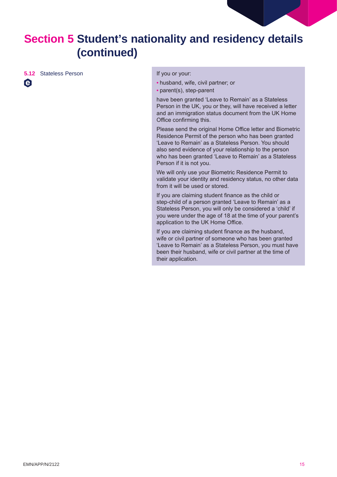

**5.12** Stateless Person **If you or your:** 

 $\boldsymbol{\Theta}$ 

- husband, wife, civil partner; or
- parent(s), step-parent

have been granted 'Leave to Remain' as a Stateless Person in the UK, you or they, will have received a letter and an immigration status document from the UK Home Office confirming this.

Please send the original Home Office letter and Biometric Residence Permit of the person who has been granted 'Leave to Remain' as a Stateless Person. You should also send evidence of your relationship to the person who has been granted 'Leave to Remain' as a Stateless Person if it is not you.

We will only use your Biometric Residence Permit to validate your identity and residency status, no other data from it will be used or stored.

If you are claiming student finance as the child or step-child of a person granted 'Leave to Remain' as a Stateless Person, you will only be considered a 'child' if you were under the age of 18 at the time of your parent's application to the UK Home Office.

If you are claiming student finance as the husband, wife or civil partner of someone who has been granted 'Leave to Remain' as a Stateless Person, you must have been their husband, wife or civil partner at the time of their application.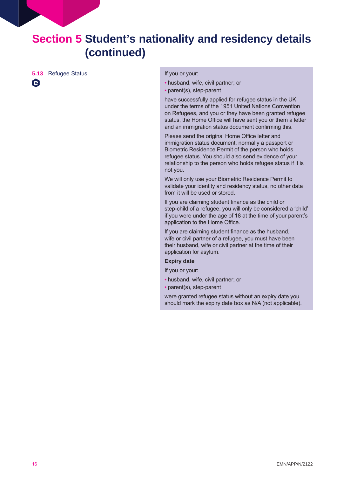**5.13** Refugee Status **If you or your:** 

 $\boldsymbol{\Theta}$ 

• husband, wife, civil partner; or

• parent(s), step-parent

have successfully applied for refugee status in the UK under the terms of the 1951 United Nations Convention on Refugees, and you or they have been granted refugee status, the Home Office will have sent you or them a letter and an immigration status document confirming this.

Please send the original Home Office letter and immigration status document, normally a passport or Biometric Residence Permit of the person who holds refugee status. You should also send evidence of your relationship to the person who holds refugee status if it is not you.

We will only use your Biometric Residence Permit to validate your identity and residency status, no other data from it will be used or stored.

If you are claiming student finance as the child or step-child of a refugee, you will only be considered a 'child' if you were under the age of 18 at the time of your parent's application to the Home Office.

If you are claiming student finance as the husband, wife or civil partner of a refugee, you must have been their husband, wife or civil partner at the time of their application for asylum.

#### **Expiry date**

If you or your:

- husband, wife, civil partner; or
- parent(s), step-parent

were granted refugee status without an expiry date you should mark the expiry date box as N/A (not applicable).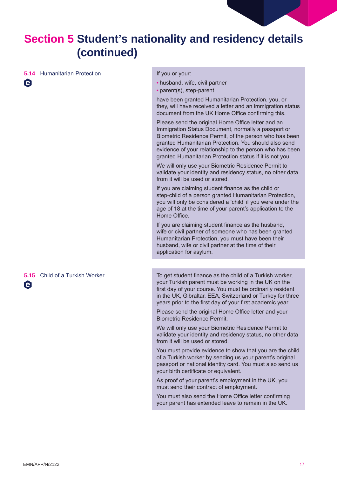

**5.14 Humanitarian Protection If you or your:** 

 $\Theta$ 

- husband, wife, civil partner
- parent(s), step-parent

have been granted Humanitarian Protection, you, or they, will have received a letter and an immigration status document from the UK Home Office confirming this.

Please send the original Home Office letter and an Immigration Status Document, normally a passport or Biometric Residence Permit, of the person who has been granted Humanitarian Protection. You should also send evidence of your relationship to the person who has been granted Humanitarian Protection status if it is not you.

We will only use your Biometric Residence Permit to validate your identity and residency status, no other data from it will be used or stored.

If you are claiming student finance as the child or step-child of a person granted Humanitarian Protection, you will only be considered a 'child' if you were under the age of 18 at the time of your parent's application to the Home Office.

If you are claiming student finance as the husband, wife or civil partner of someone who has been granted Humanitarian Protection, you must have been their husband, wife or civil partner at the time of their application for asylum.

e

**5.15** Child of a Turkish Worker The To get student finance as the child of a Turkish worker, your Turkish parent must be working in the UK on the first day of your course. You must be ordinarily resident in the UK, Gibraltar, EEA, Switzerland or Turkey for three years prior to the first day of your first academic year.

> Please send the original Home Office letter and your Biometric Residence Permit.

We will only use your Biometric Residence Permit to validate your identity and residency status, no other data from it will be used or stored.

You must provide evidence to show that you are the child of a Turkish worker by sending us your parent's original passport or national identity card. You must also send us your birth certificate or equivalent.

As proof of your parent's employment in the UK, you must send their contract of employment.

You must also send the Home Office letter confirming your parent has extended leave to remain in the UK.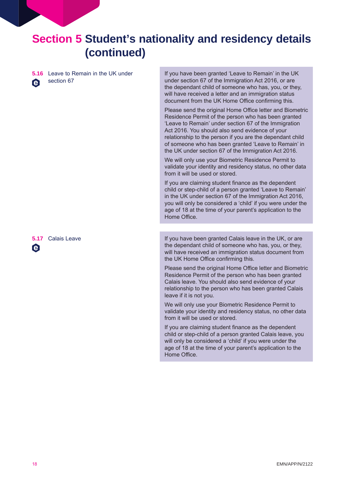**5.16** Leave to Remain in the UK under section 67 A

If you have been granted 'Leave to Remain' in the UK under section 67 of the Immigration Act 2016, or are the dependant child of someone who has, you, or they, will have received a letter and an immigration status document from the UK Home Office confirming this.

Please send the original Home Office letter and Biometric Residence Permit of the person who has been granted 'Leave to Remain' under section 67 of the Immigration Act 2016. You should also send evidence of your relationship to the person if you are the dependant child of someone who has been granted 'Leave to Remain' in the UK under section 67 of the Immigration Act 2016.

We will only use your Biometric Residence Permit to validate your identity and residency status, no other data from it will be used or stored.

If you are claiming student finance as the dependent child or step-child of a person granted 'Leave to Remain' in the UK under section 67 of the Immigration Act 2016, you will only be considered a 'child' if you were under the age of 18 at the time of your parent's application to the Home Office.

**5.17** Calais Leave **If you have been granted Calais leave in the UK**, or are the dependant child of someone who has, you, or they, will have received an immigration status document from the UK Home Office confirming this.

> Please send the original Home Office letter and Biometric Residence Permit of the person who has been granted Calais leave. You should also send evidence of your relationship to the person who has been granted Calais leave if it is not you.

We will only use your Biometric Residence Permit to validate your identity and residency status, no other data from it will be used or stored.

If you are claiming student finance as the dependent child or step-child of a person granted Calais leave, you will only be considered a 'child' if you were under the age of 18 at the time of your parent's application to the Home Office.

e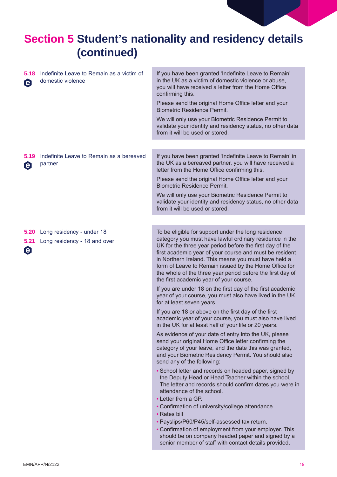| 5.18<br>$\boldsymbol{\Theta}$         | Indefinite Leave to Remain as a victim of<br>domestic violence | If you have been granted 'Indefinite Leave to Remain'<br>in the UK as a victim of domestic violence or abuse,<br>you will have received a letter from the Home Office<br>confirming this.<br>Please send the original Home Office letter and your<br><b>Biometric Residence Permit.</b>                                                                                                                                                                         |
|---------------------------------------|----------------------------------------------------------------|-----------------------------------------------------------------------------------------------------------------------------------------------------------------------------------------------------------------------------------------------------------------------------------------------------------------------------------------------------------------------------------------------------------------------------------------------------------------|
|                                       |                                                                | We will only use your Biometric Residence Permit to<br>validate your identity and residency status, no other data<br>from it will be used or stored.                                                                                                                                                                                                                                                                                                            |
|                                       |                                                                |                                                                                                                                                                                                                                                                                                                                                                                                                                                                 |
| 5.19<br>$\boldsymbol{\Theta}$         | Indefinite Leave to Remain as a bereaved<br>partner            | If you have been granted 'Indefinite Leave to Remain' in<br>the UK as a bereaved partner, you will have received a<br>letter from the Home Office confirming this.                                                                                                                                                                                                                                                                                              |
|                                       |                                                                | Please send the original Home Office letter and your<br><b>Biometric Residence Permit.</b>                                                                                                                                                                                                                                                                                                                                                                      |
|                                       |                                                                | We will only use your Biometric Residence Permit to<br>validate your identity and residency status, no other data<br>from it will be used or stored.                                                                                                                                                                                                                                                                                                            |
|                                       |                                                                |                                                                                                                                                                                                                                                                                                                                                                                                                                                                 |
| 5.20<br>5.21<br>$\boldsymbol{\Theta}$ | Long residency - under 18<br>Long residency - 18 and over      | To be eligible for support under the long residence<br>category you must have lawful ordinary residence in the<br>UK for the three year period before the first day of the<br>first academic year of your course and must be resident<br>in Northern Ireland. This means you must have held a<br>form of Leave to Remain issued by the Home Office for<br>the whole of the three year period before the first day of<br>the first academic year of your course. |
|                                       |                                                                | If you are under 18 on the first day of the first academic<br>year of your course, you must also have lived in the UK<br>for at least seven years.                                                                                                                                                                                                                                                                                                              |
|                                       |                                                                | If you are 18 or above on the first day of the first<br>academic year of your course, you must also have lived<br>in the UK for at least half of your life or 20 years.                                                                                                                                                                                                                                                                                         |
|                                       |                                                                | As evidence of your date of entry into the UK, please<br>send your original Home Office letter confirming the<br>category of your leave, and the date this was granted,<br>and your Biometric Residency Permit. You should also<br>send any of the following:                                                                                                                                                                                                   |
|                                       |                                                                | • School letter and records on headed paper, signed by<br>the Deputy Head or Head Teacher within the school.<br>The letter and records should confirm dates you were in<br>attendance of the school.<br>• Letter from a GP.                                                                                                                                                                                                                                     |
|                                       |                                                                | • Confirmation of university/college attendance.<br>• Rates bill                                                                                                                                                                                                                                                                                                                                                                                                |
|                                       |                                                                | · Payslips/P60/P45/self-assessed tax return.<br>• Confirmation of employment from your employer. This<br>should be on company headed paper and signed by a<br>senior member of staff with contact details provided.                                                                                                                                                                                                                                             |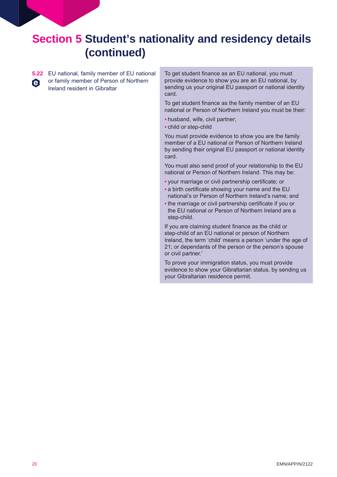**5.22** EU national, family member of EU national or family member of Person of Northern e Ireland resident in Gibraltar

To get student finance as an EU national, you must provide evidence to show you are an EU national, by sending us your original EU passport or national identity card.

To get student finance as the family member of an EU national or Person of Northern Ireland you must be their:

- husband, wife, civil partner;
- child or step-child

You must provide evidence to show you are the family member of a EU national or Person of Northern Ireland by sending their original EU passport or national identity card.

You must also send proof of your relationship to the EU national or Person of Northern Ireland. This may be:

- your marriage or civil partnership certificate; or
- a birth certificate showing your name and the EU national's or Person of Northern Ireland's name; and
- the marriage or civil partnership certificate if you or the EU national or Person of Northern Ireland are a step-child.

If you are claiming student finance as the child or step-child of an EU national or person of Northern Ireland, the term 'child' means a person 'under the age of 21; or dependants of the person or the person's spouse or civil partner.'

To prove your immigration status, you must provide evidence to show your Gibraltarian status, by sending us your Gibraltarian residence permit.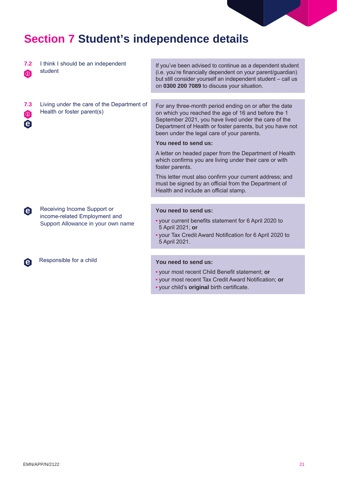## **Section 7 Student's independence details**

| 7.2<br>$\bigcirc$                          | I think I should be an independent<br>student                                                      | If you've been advised to continue as a dependent student<br>(i.e. you're financially dependent on your parent/guardian)<br>but still consider yourself an independent student - call us<br>on 0300 200 7089 to discuss your situation.                                         |
|--------------------------------------------|----------------------------------------------------------------------------------------------------|---------------------------------------------------------------------------------------------------------------------------------------------------------------------------------------------------------------------------------------------------------------------------------|
|                                            |                                                                                                    |                                                                                                                                                                                                                                                                                 |
| 7.3<br>$\bigcirc$<br>$\boldsymbol{\Theta}$ | Living under the care of the Department of<br>Health or foster parent(s)                           | For any three-month period ending on or after the date<br>on which you reached the age of 16 and before the 1<br>September 2021, you have lived under the care of the<br>Department of Health or foster parents, but you have not<br>been under the legal care of your parents. |
|                                            |                                                                                                    | You need to send us:                                                                                                                                                                                                                                                            |
|                                            |                                                                                                    | A letter on headed paper from the Department of Health<br>which confirms you are living under their care or with<br>foster parents.                                                                                                                                             |
|                                            |                                                                                                    | This letter must also confirm your current address; and<br>must be signed by an official from the Department of<br>Health and include an official stamp.                                                                                                                        |
|                                            |                                                                                                    |                                                                                                                                                                                                                                                                                 |
| $\boldsymbol{\Theta}$                      | Receiving Income Support or<br>income-related Employment and<br>Support Allowance in your own name | You need to send us:<br>• your current benefits statement for 6 April 2020 to<br>5 April 2021; or<br>. your Tax Credit Award Notification for 6 April 2020 to<br>5 April 2021.                                                                                                  |
|                                            |                                                                                                    |                                                                                                                                                                                                                                                                                 |
| $\boldsymbol{\Theta}$                      | Responsible for a child                                                                            | You need to send us:<br>• your most recent Child Benefit statement; or                                                                                                                                                                                                          |

- your most recent Tax Credit Award Notification; **or**
- your child's **original** birth certificate.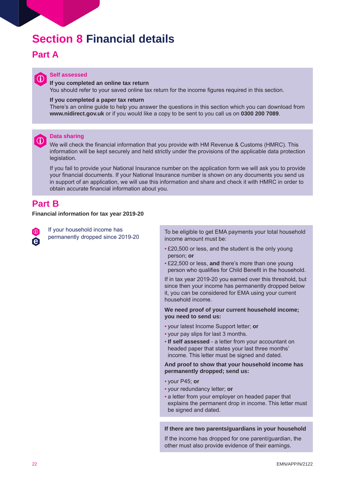## **Section 8 Financial details**

## **Part A**



## **in** Self assessed

#### **If you completed an online tax return**

You should refer to your saved online tax return for the income figures required in this section.

#### **If you completed a paper tax return**

There's an online guide to help you answer the questions in this section which you can download from **<www.nidirect.gov.uk>** or if you would like a copy to be sent to you call us on **0300 200 7089**.



#### **Data sharing**

We will check the financial information that you provide with HM Revenue & Customs (HMRC). This information will be kept securely and held strictly under the provisions of the applicable data protection legislation.

If you fail to provide your National Insurance number on the application form we will ask you to provide your financial documents. If your National Insurance number is shown on any documents you send us in support of an application, we will use this information and share and check it with HMRC in order to obtain accurate financial information about you.

## **Part B**

#### **Financial information for tax year 2019-20**

 $\omega$ **e**  If your household income has

If your nousehold income has<br>permanently dropped since 2019-20 To be eligible to get EMA payments your total household income amount must be:

- £20,500 or less, and the student is the only young person; **or**
- £22,500 or less, **and** there's more than one young person who qualifies for Child Benefit in the household.

If in tax year 2019-20 you earned over this threshold, but since then your income has permanently dropped below it, you can be considered for EMA using your current household income.

#### **We need proof of your current household income; you need to send us:**

- your latest Income Support letter; **or**
- your pay slips for last 3 months.
- **If self assessed** a letter from your accountant on headed paper that states your last three months' income. This letter must be signed and dated.

#### **And proof to show that your household income has permanently dropped; send us:**

- your P45; **or**
- your redundancy letter; **or**
- a letter from your employer on headed paper that explains the permanent drop in income. This letter must be signed and dated.

#### **If there are two parents/guardians in your household**

If the income has dropped for one parent/guardian, the other must also provide evidence of their earnings.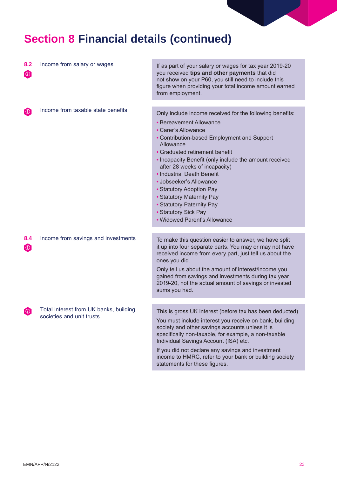## **Section 8 Financial details (continued)**

| 8.2<br>$\boldsymbol{\omega}$ | Income from salary or wages                                         | If as part of your salary or wages for tax year 2019-20<br>you received tips and other payments that did<br>not show on your P60, you still need to include this<br>figure when providing your total income amount earned<br>from employment.                                                                                                                                                                                                                                                              |
|------------------------------|---------------------------------------------------------------------|------------------------------------------------------------------------------------------------------------------------------------------------------------------------------------------------------------------------------------------------------------------------------------------------------------------------------------------------------------------------------------------------------------------------------------------------------------------------------------------------------------|
|                              |                                                                     |                                                                                                                                                                                                                                                                                                                                                                                                                                                                                                            |
| $\omega$                     | Income from taxable state benefits                                  | Only include income received for the following benefits:<br>• Bereavement Allowance<br>• Carer's Allowance<br>• Contribution-based Employment and Support<br>Allowance<br>• Graduated retirement benefit<br>• Incapacity Benefit (only include the amount received<br>after 28 weeks of incapacity)<br>• Industrial Death Benefit<br>• Jobseeker's Allowance<br>• Statutory Adoption Pay<br>• Statutory Maternity Pay<br>• Statutory Paternity Pay<br>• Statutory Sick Pay<br>• Widowed Parent's Allowance |
|                              |                                                                     |                                                                                                                                                                                                                                                                                                                                                                                                                                                                                                            |
| 8.4<br>$\omega$              | Income from savings and investments                                 | To make this question easier to answer, we have split<br>it up into four separate parts. You may or may not have<br>received income from every part, just tell us about the<br>ones you did.<br>Only tell us about the amount of interest/income you<br>gained from savings and investments during tax year<br>2019-20, not the actual amount of savings or invested<br>sums you had.                                                                                                                      |
|                              |                                                                     |                                                                                                                                                                                                                                                                                                                                                                                                                                                                                                            |
| $\left[ 0\right]$            | Total interest from UK banks, building<br>societies and unit trusts | This is gross UK interest (before tax has been deducted)<br>You must include interest you receive on bank, building<br>society and other savings accounts unless it is<br>specifically non-taxable, for example, a non-taxable<br>Individual Savings Account (ISA) etc.<br>If you did not declare any savings and investment<br>income to HMRC, refer to your bank or building society<br>statements for these figures.                                                                                    |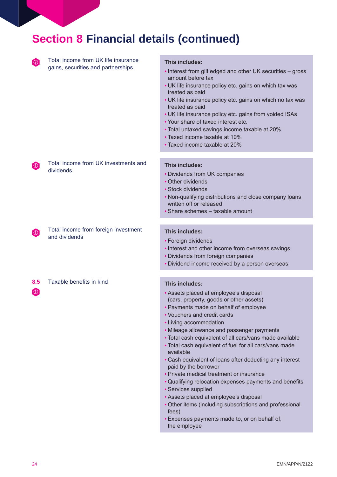| <b>Section 8 Financial details (continued)</b> |                                                                           |                                                                                                                                                                                                                                                                                                                                                                                                                                                                                                                                                                                                       |  |
|------------------------------------------------|---------------------------------------------------------------------------|-------------------------------------------------------------------------------------------------------------------------------------------------------------------------------------------------------------------------------------------------------------------------------------------------------------------------------------------------------------------------------------------------------------------------------------------------------------------------------------------------------------------------------------------------------------------------------------------------------|--|
| $\omega$                                       | Total income from UK life insurance<br>gains, securities and partnerships | This includes:<br>• Interest from gilt edged and other UK securities - gross<br>amount before tax<br>• UK life insurance policy etc. gains on which tax was<br>treated as paid<br>• UK life insurance policy etc. gains on which no tax was<br>treated as paid<br>• UK life insurance policy etc. gains from voided ISAs<br>• Your share of taxed interest etc.<br>• Total untaxed savings income taxable at 20%<br>• Taxed income taxable at 10%<br>• Taxed income taxable at 20%                                                                                                                    |  |
| $\lbrack \mathbb{O} \rbrack$                   | Total income from UK investments and<br>dividends                         | This includes:<br>• Dividends from UK companies<br>• Other dividends<br>• Stock dividends<br>. Non-qualifying distributions and close company loans<br>written off or released<br>• Share schemes - taxable amount                                                                                                                                                                                                                                                                                                                                                                                    |  |
| $\lbrack \text{ } 0 \rbrack$                   | Total income from foreign investment<br>and dividends                     | This includes:<br>• Foreign dividends<br>• Interest and other income from overseas savings<br>• Dividends from foreign companies<br>• Dividend income received by a person overseas                                                                                                                                                                                                                                                                                                                                                                                                                   |  |
| 8.5<br>$\omega$                                | Taxable benefits in kind                                                  | This includes:<br>• Assets placed at employee's disposal<br>(cars, property, goods or other assets)<br>• Payments made on behalf of employee<br>• Vouchers and credit cards<br>• Living accommodation<br>• Mileage allowance and passenger payments<br>. Total cash equivalent of all cars/vans made available<br>. Total cash equivalent of fuel for all cars/vans made<br>available<br>• Cash equivalent of loans after deducting any interest<br>paid by the borrower<br>• Private medical treatment or insurance<br>• Qualifying relocation expenses payments and benefits<br>· Services supplied |  |

- Assets placed at employee's disposal
- Other items (including subscriptions and professional fees)
- Expenses payments made to, or on behalf of, the employee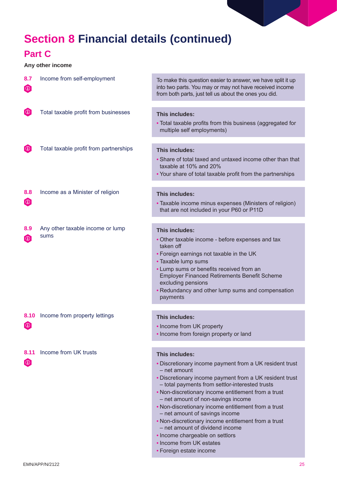## **Section 8 Financial details (continued)**

## **Part C**

### **Any other income**

| 8.7<br>$\boldsymbol{\omega}$ | Income from self-employment            | To make this question easier to answer, we have split it up<br>into two parts. You may or may not have received income<br>from both parts, just tell us about the ones you did.                                                                                                                                            |
|------------------------------|----------------------------------------|----------------------------------------------------------------------------------------------------------------------------------------------------------------------------------------------------------------------------------------------------------------------------------------------------------------------------|
|                              |                                        |                                                                                                                                                                                                                                                                                                                            |
| $\omega$                     | Total taxable profit from businesses   | This includes:                                                                                                                                                                                                                                                                                                             |
|                              |                                        | • Total taxable profits from this business (aggregated for<br>multiple self employments)                                                                                                                                                                                                                                   |
|                              |                                        |                                                                                                                                                                                                                                                                                                                            |
| $\lbrack \text{ } 0 \rbrack$ | Total taxable profit from partnerships | This includes:                                                                                                                                                                                                                                                                                                             |
|                              |                                        | • Share of total taxed and untaxed income other than that<br>taxable at 10% and 20%<br>• Your share of total taxable profit from the partnerships                                                                                                                                                                          |
|                              |                                        |                                                                                                                                                                                                                                                                                                                            |
| 8.8                          | Income as a Minister of religion       | This includes:                                                                                                                                                                                                                                                                                                             |
| $\boldsymbol{\omega}$        |                                        | • Taxable income minus expenses (Ministers of religion)<br>that are not included in your P60 or P11D                                                                                                                                                                                                                       |
|                              |                                        |                                                                                                                                                                                                                                                                                                                            |
| 8.9                          | Any other taxable income or lump       | This includes:                                                                                                                                                                                                                                                                                                             |
| $\lbrack \text{ } 0 \rbrack$ | <b>sums</b>                            | • Other taxable income - before expenses and tax<br>taken off<br>• Foreign earnings not taxable in the UK<br>• Taxable lump sums<br>• Lump sums or benefits received from an<br><b>Employer Financed Retirements Benefit Scheme</b><br>excluding pensions<br>• Redundancy and other lump sums and compensation<br>payments |
|                              |                                        |                                                                                                                                                                                                                                                                                                                            |
| 8.10                         | Income from property lettings          | This includes:                                                                                                                                                                                                                                                                                                             |
| $\omega$                     |                                        | • Income from UK property<br>• Income from foreign property or land                                                                                                                                                                                                                                                        |
|                              |                                        |                                                                                                                                                                                                                                                                                                                            |
| 8.11                         | Income from UK trusts                  | This includes:                                                                                                                                                                                                                                                                                                             |
| $\boldsymbol{\omega}$        |                                        | • Discretionary income payment from a UK resident trust<br>- net amount<br>. Discretionary income payment from a UK resident trust                                                                                                                                                                                         |
|                              |                                        | - total payments from settlor-interested trusts<br>. Non-discretionary income entitlement from a trust                                                                                                                                                                                                                     |
|                              |                                        | - net amount of non-savings income                                                                                                                                                                                                                                                                                         |
|                              |                                        | . Non-discretionary income entitlement from a trust<br>- net amount of savings income                                                                                                                                                                                                                                      |

- Non-discretionary income entitlement from a trust – net amount of dividend income
- Income chargeable on settlors
- Income from UK estates
- Foreign estate income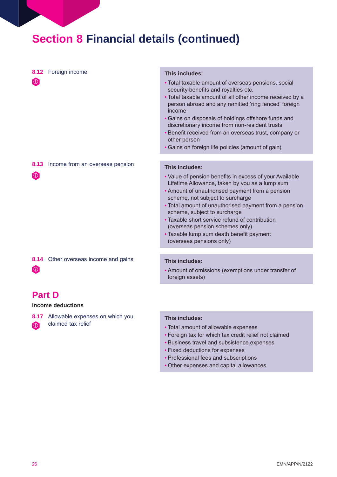## **Section 8 Financial details (continued)**

| $\omega$                      | 8.12 Foreign income             | This includes:<br>• Total taxable amount of overseas pensions, social<br>security benefits and royalties etc.<br>• Total taxable amount of all other income received by a<br>person abroad and any remitted 'ring fenced' foreign<br>income<br>• Gains on disposals of holdings offshore funds and<br>discretionary income from non-resident trusts<br>• Benefit received from an overseas trust, company or<br>other person<br>• Gains on foreign life policies (amount of gain) |
|-------------------------------|---------------------------------|-----------------------------------------------------------------------------------------------------------------------------------------------------------------------------------------------------------------------------------------------------------------------------------------------------------------------------------------------------------------------------------------------------------------------------------------------------------------------------------|
| 8.13<br>$\boldsymbol{\omega}$ | Income from an overseas pension | This includes:<br>• Value of pension benefits in excess of your Available<br>Lifetime Allowance, taken by you as a lump sum<br>• Amount of unauthorised payment from a pension<br>scheme, not subject to surcharge<br>• Total amount of unauthorised payment from a pension<br>scheme, subject to surcharge<br>• Taxable short service refund of contribution<br>(overseas pension schemes only)<br>• Taxable lump sum death benefit payment<br>(overseas pensions only)          |

**8.14** Other overseas income and gains  $\bigcirc$ 

## **Part D**

#### **Income deductions**

**8.17** Allowable expenses on which you

 $\odot$  claimed tax relief

#### **This includes:**

• Amount of omissions (exemptions under transfer of foreign assets)

#### **This includes:**

- Total amount of allowable expenses
- Foreign tax for which tax credit relief not claimed
- Business travel and subsistence expenses
- Fixed deductions for expenses
- Professional fees and subscriptions
- Other expenses and capital allowances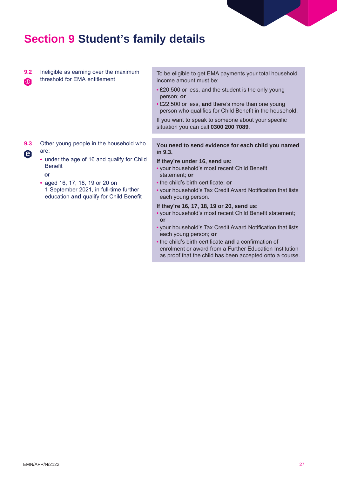

## **Section 9 Student's family details**

**9.2** Ineligible as earning over the maximum **in** threshold for EMA entitlement

**9.3** Other young people in the household who **e** are:

**•** under the age of 16 and qualify for Child Benefit

**or** 

**•** aged 16, 17, 18, 19 or 20 on 1 September 2021, in full-time further education **and** qualify for Child Benefit

To be eligible to get EMA payments your total household income amount must be:

- £20,500 or less, and the student is the only young person; **or**
- £22,500 or less, **and** there's more than one young person who qualifies for Child Benefit in the household.

If you want to speak to someone about your specific situation you can call **0300 200 7089**.

**You need to send evidence for each child you named in 9.3.** 

#### **If they're under 16, send us:**

- your household's most recent Child Benefit statement; **or**
- the child's birth certificate; **or**
- your household's Tax Credit Award Notification that lists each young person.

#### **If they're 16, 17, 18, 19 or 20, send us:**

- your household's most recent Child Benefit statement; **or**
- your household's Tax Credit Award Notification that lists each young person; **or**
- the child's birth certificate **and** a confirmation of enrolment or award from a Further Education Institution as proof that the child has been accepted onto a course.